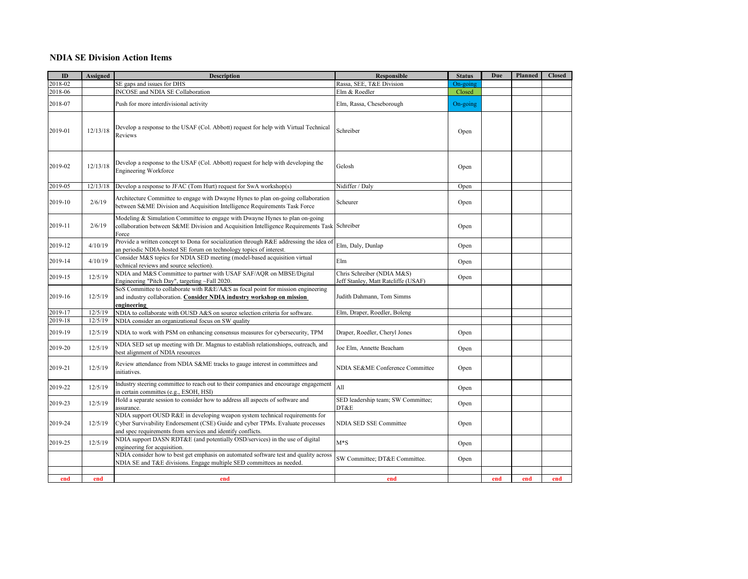## **NDIA SE Division Action Items**

| ID      | <b>Assigned</b> | <b>Description</b>                                                                                                                                                                                                            | Responsible                                                       | <b>Status</b> | Due | Planned | <b>Closed</b> |
|---------|-----------------|-------------------------------------------------------------------------------------------------------------------------------------------------------------------------------------------------------------------------------|-------------------------------------------------------------------|---------------|-----|---------|---------------|
| 2018-02 |                 | SE gaps and issues for DHS                                                                                                                                                                                                    | Rassa, SEE, T&E Division                                          | On-going      |     |         |               |
| 2018-06 |                 | INCOSE and NDIA SE Collaboration                                                                                                                                                                                              | Elm & Roedler                                                     | Closed        |     |         |               |
| 2018-07 |                 | Push for more interdivisional activity                                                                                                                                                                                        | Elm, Rassa, Cheseborough                                          | On-going      |     |         |               |
| 2019-01 | 12/13/18        | Develop a response to the USAF (Col. Abbott) request for help with Virtual Technical<br>Reviews                                                                                                                               | Schreiber                                                         | Open          |     |         |               |
| 2019-02 | 12/13/18        | Develop a response to the USAF (Col. Abbott) request for help with developing the<br><b>Engineering Workforce</b>                                                                                                             | Gelosh                                                            | Open          |     |         |               |
| 2019-05 | 12/13/18        | Develop a response to JFAC (Tom Hurt) request for SwA workshop(s)                                                                                                                                                             | Nidiffer / Daly                                                   | Open          |     |         |               |
| 2019-10 | 2/6/19          | Architecture Committee to engage with Dwayne Hynes to plan on-going collaboration<br>between S&ME Division and Acquisition Intelligence Requirements Task Force                                                               | Scheurer                                                          | Open          |     |         |               |
| 2019-11 | 2/6/19          | Modeling & Simulation Committee to engage with Dwayne Hynes to plan on-going<br>collaboration between S&ME Division and Acquisition Intelligence Requirements Task Schreiber<br>Force                                         |                                                                   | Open          |     |         |               |
| 2019-12 | 4/10/19         | Provide a written concept to Dona for socialization through R&E addressing the idea of<br>an periodic NDIA-hosted SE forum on technology topics of interest.                                                                  | Elm, Daly, Dunlap                                                 | Open          |     |         |               |
| 2019-14 | 4/10/19         | Consider M&S topics for NDIA SED meeting (model-based acquisition virtual<br>technical reviews and source selection).                                                                                                         | Elm                                                               | Open          |     |         |               |
| 2019-15 | 12/5/19         | NDIA and M&S Committee to partner with USAF SAF/AQR on MBSE/Digital<br>Engineering "Pitch Day", targeting ~Fall 2020.                                                                                                         | Chris Schreiber (NDIA M&S)<br>Jeff Stanley, Matt Ratcliffe (USAF) | Open          |     |         |               |
| 2019-16 | 12/5/19         | SoS Committee to collaborate with R&E/A&S as focal point for mission engineering<br>and industry collaboration. Consider NDIA industry workshop on mission<br>engineering                                                     | Judith Dahmann, Tom Simms                                         |               |     |         |               |
| 2019-17 | 12/5/19         | NDIA to collaborate with OUSD A&S on source selection criteria for software.                                                                                                                                                  | Elm, Draper, Roedler, Boleng                                      |               |     |         |               |
| 2019-18 | 12/5/19         | NDIA consider an organizational focus on SW quality                                                                                                                                                                           |                                                                   |               |     |         |               |
| 2019-19 | 12/5/19         | NDIA to work with PSM on enhancing consensus measures for cybersecurity, TPM                                                                                                                                                  | Draper, Roedler, Cheryl Jones                                     | Open          |     |         |               |
| 2019-20 | 12/5/19         | NDIA SED set up meeting with Dr. Magnus to establish relationshiops, outreach, and<br>best alignment of NDIA resources                                                                                                        | Joe Elm, Annette Beacham                                          | Open          |     |         |               |
| 2019-21 | 12/5/19         | Review attendance from NDIA S&ME tracks to gauge interest in committees and<br>initiatives.                                                                                                                                   | NDIA SE&ME Conference Committee                                   | Open          |     |         |               |
| 2019-22 | 12/5/19         | Industry steering committee to reach out to their companies and encourage engagement<br>in certain committes (e.g., ESOH, HSI)                                                                                                | All                                                               | Open          |     |         |               |
| 2019-23 | 12/5/19         | Hold a separate session to consider how to address all aspects of software and<br>assurance.                                                                                                                                  | SED leadership team; SW Committee;<br>DT&E                        | Open          |     |         |               |
| 2019-24 | 12/5/19         | NDIA support OUSD R&E in developing weapon system technical requirements for<br>Cyber Survivability Endorsement (CSE) Guide and cyber TPMs. Evaluate processes<br>and spec requirements from services and identify conflicts. | NDIA SED SSE Committee                                            | Open          |     |         |               |
| 2019-25 | 12/5/19         | NDIA support DASN RDT&E (and potentially OSD/services) in the use of digital<br>engineering for acquisition.                                                                                                                  | $M*S$                                                             | Open          |     |         |               |
|         |                 | NDIA consider how to best get emphasis on automated software test and quality across<br>NDIA SE and T&E divisions. Engage multiple SED committees as needed.                                                                  | SW Committee; DT&E Committee.                                     | Open          |     |         |               |
| end     | end             | end                                                                                                                                                                                                                           | end                                                               |               | end | end     | end           |